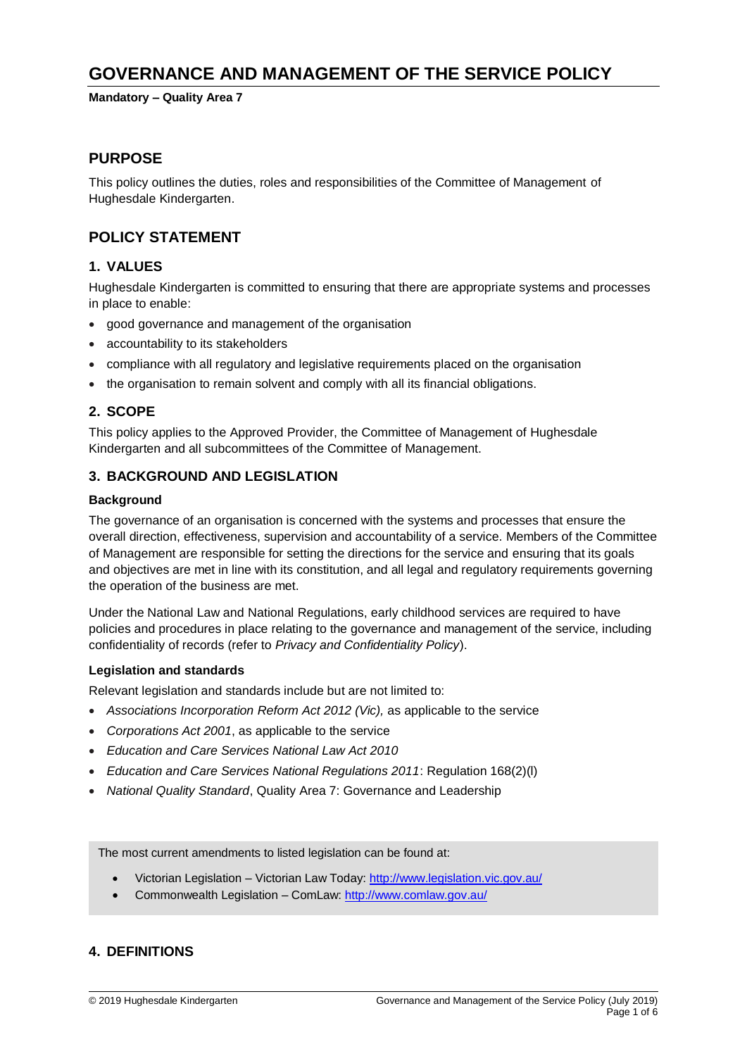# **GOVERNANCE AND MANAGEMENT OF THE SERVICE POLICY**

**Mandatory – Quality Area 7**

## **PURPOSE**

This policy outlines the duties, roles and responsibilities of the Committee of Management of Hughesdale Kindergarten.

# **POLICY STATEMENT**

## **1. VALUES**

Hughesdale Kindergarten is committed to ensuring that there are appropriate systems and processes in place to enable:

- good governance and management of the organisation
- accountability to its stakeholders
- compliance with all regulatory and legislative requirements placed on the organisation
- the organisation to remain solvent and comply with all its financial obligations.

## **2. SCOPE**

This policy applies to the Approved Provider, the Committee of Management of Hughesdale Kindergarten and all subcommittees of the Committee of Management.

## **3. BACKGROUND AND LEGISLATION**

#### **Background**

The governance of an organisation is concerned with the systems and processes that ensure the overall direction, effectiveness, supervision and accountability of a service. Members of the Committee of Management are responsible for setting the directions for the service and ensuring that its goals and objectives are met in line with its constitution, and all legal and regulatory requirements governing the operation of the business are met.

Under the National Law and National Regulations, early childhood services are required to have policies and procedures in place relating to the governance and management of the service, including confidentiality of records (refer to *Privacy and Confidentiality Policy*).

#### **Legislation and standards**

Relevant legislation and standards include but are not limited to:

- *Associations Incorporation Reform Act 2012 (Vic),* as applicable to the service
- *Corporations Act 2001*, as applicable to the service
- *Education and Care Services National Law Act 2010*
- *Education and Care Services National Regulations 2011*: Regulation 168(2)(l)
- *National Quality Standard*, Quality Area 7: Governance and Leadership

The most current amendments to listed legislation can be found at:

- Victorian Legislation Victorian Law Today:<http://www.legislation.vic.gov.au/>
- Commonwealth Legislation ComLaw:<http://www.comlaw.gov.au/>

### **4. DEFINITIONS**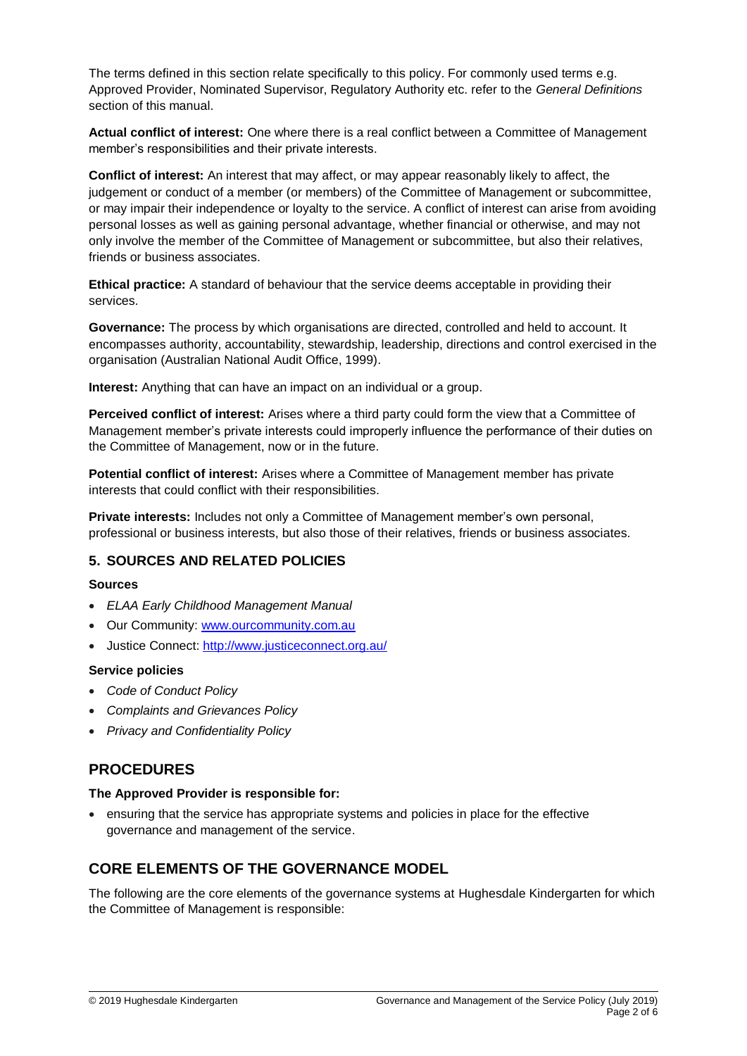The terms defined in this section relate specifically to this policy. For commonly used terms e.g. Approved Provider, Nominated Supervisor, Regulatory Authority etc. refer to the *General Definitions* section of this manual.

**Actual conflict of interest:** One where there is a real conflict between a Committee of Management member's responsibilities and their private interests.

**Conflict of interest:** An interest that may affect, or may appear reasonably likely to affect, the judgement or conduct of a member (or members) of the Committee of Management or subcommittee, or may impair their independence or loyalty to the service. A conflict of interest can arise from avoiding personal losses as well as gaining personal advantage, whether financial or otherwise, and may not only involve the member of the Committee of Management or subcommittee, but also their relatives, friends or business associates.

**Ethical practice:** A standard of behaviour that the service deems acceptable in providing their services.

**Governance:** The process by which organisations are directed, controlled and held to account. It encompasses authority, accountability, stewardship, leadership, directions and control exercised in the organisation (Australian National Audit Office, 1999).

**Interest:** Anything that can have an impact on an individual or a group.

**Perceived conflict of interest:** Arises where a third party could form the view that a Committee of Management member's private interests could improperly influence the performance of their duties on the Committee of Management, now or in the future.

**Potential conflict of interest:** Arises where a Committee of Management member has private interests that could conflict with their responsibilities.

**Private interests:** Includes not only a Committee of Management member's own personal, professional or business interests, but also those of their relatives, friends or business associates.

### **5. SOURCES AND RELATED POLICIES**

#### **Sources**

- *ELAA Early Childhood Management Manual*
- Our Community: [www.ourcommunity.com.au](http://www.ourcommunity.com.au/)
- Justice Connect: <http://www.justiceconnect.org.au/>

#### **Service policies**

- *Code of Conduct Policy*
- *Complaints and Grievances Policy*
- *Privacy and Confidentiality Policy*

## **PROCEDURES**

#### **The Approved Provider is responsible for:**

 ensuring that the service has appropriate systems and policies in place for the effective governance and management of the service.

## **CORE ELEMENTS OF THE GOVERNANCE MODEL**

The following are the core elements of the governance systems at Hughesdale Kindergarten for which the Committee of Management is responsible: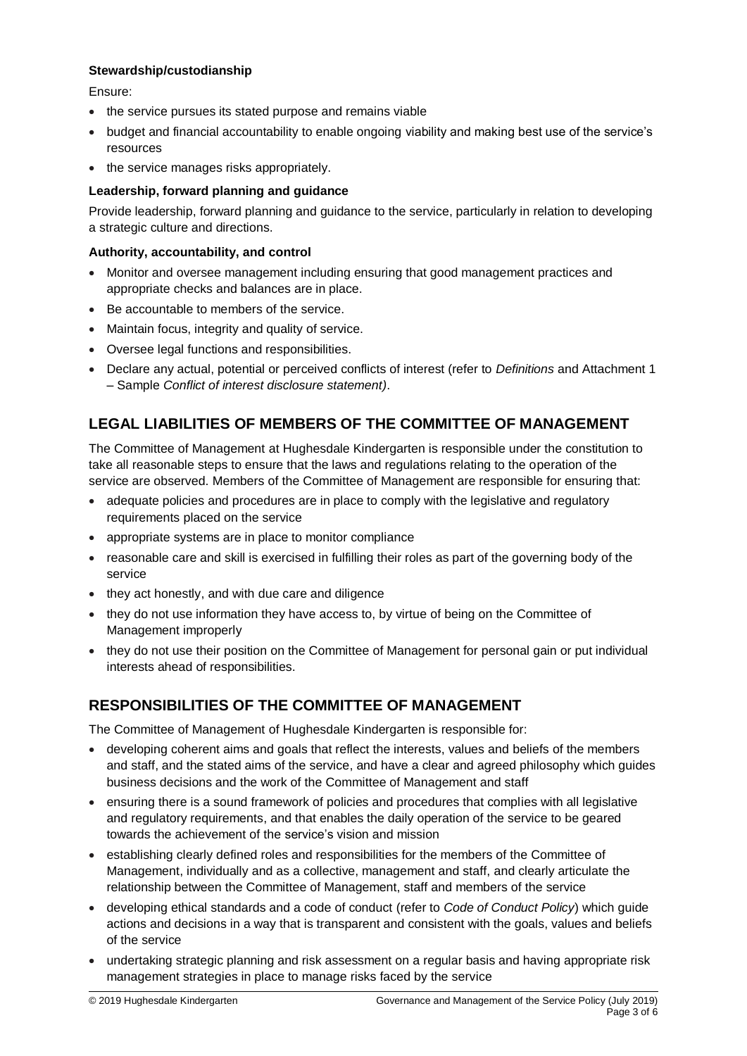#### **Stewardship/custodianship**

Ensure:

- the service pursues its stated purpose and remains viable
- budget and financial accountability to enable ongoing viability and making best use of the service's resources
- the service manages risks appropriately.

#### **Leadership, forward planning and guidance**

Provide leadership, forward planning and guidance to the service, particularly in relation to developing a strategic culture and directions.

#### **Authority, accountability, and control**

- Monitor and oversee management including ensuring that good management practices and appropriate checks and balances are in place.
- Be accountable to members of the service.
- Maintain focus, integrity and quality of service.
- Oversee legal functions and responsibilities.
- Declare any actual, potential or perceived conflicts of interest (refer to *Definitions* and Attachment 1 – Sample *Conflict of interest disclosure statement)*.

# **LEGAL LIABILITIES OF MEMBERS OF THE COMMITTEE OF MANAGEMENT**

The Committee of Management at Hughesdale Kindergarten is responsible under the constitution to take all reasonable steps to ensure that the laws and regulations relating to the operation of the service are observed. Members of the Committee of Management are responsible for ensuring that:

- adequate policies and procedures are in place to comply with the legislative and regulatory requirements placed on the service
- appropriate systems are in place to monitor compliance
- reasonable care and skill is exercised in fulfilling their roles as part of the governing body of the service
- they act honestly, and with due care and diligence
- they do not use information they have access to, by virtue of being on the Committee of Management improperly
- they do not use their position on the Committee of Management for personal gain or put individual interests ahead of responsibilities.

# **RESPONSIBILITIES OF THE COMMITTEE OF MANAGEMENT**

The Committee of Management of Hughesdale Kindergarten is responsible for:

- developing coherent aims and goals that reflect the interests, values and beliefs of the members and staff, and the stated aims of the service, and have a clear and agreed philosophy which guides business decisions and the work of the Committee of Management and staff
- ensuring there is a sound framework of policies and procedures that complies with all legislative and regulatory requirements, and that enables the daily operation of the service to be geared towards the achievement of the service's vision and mission
- establishing clearly defined roles and responsibilities for the members of the Committee of Management, individually and as a collective, management and staff, and clearly articulate the relationship between the Committee of Management, staff and members of the service
- developing ethical standards and a code of conduct (refer to *Code of Conduct Policy*) which guide actions and decisions in a way that is transparent and consistent with the goals, values and beliefs of the service
- undertaking strategic planning and risk assessment on a regular basis and having appropriate risk management strategies in place to manage risks faced by the service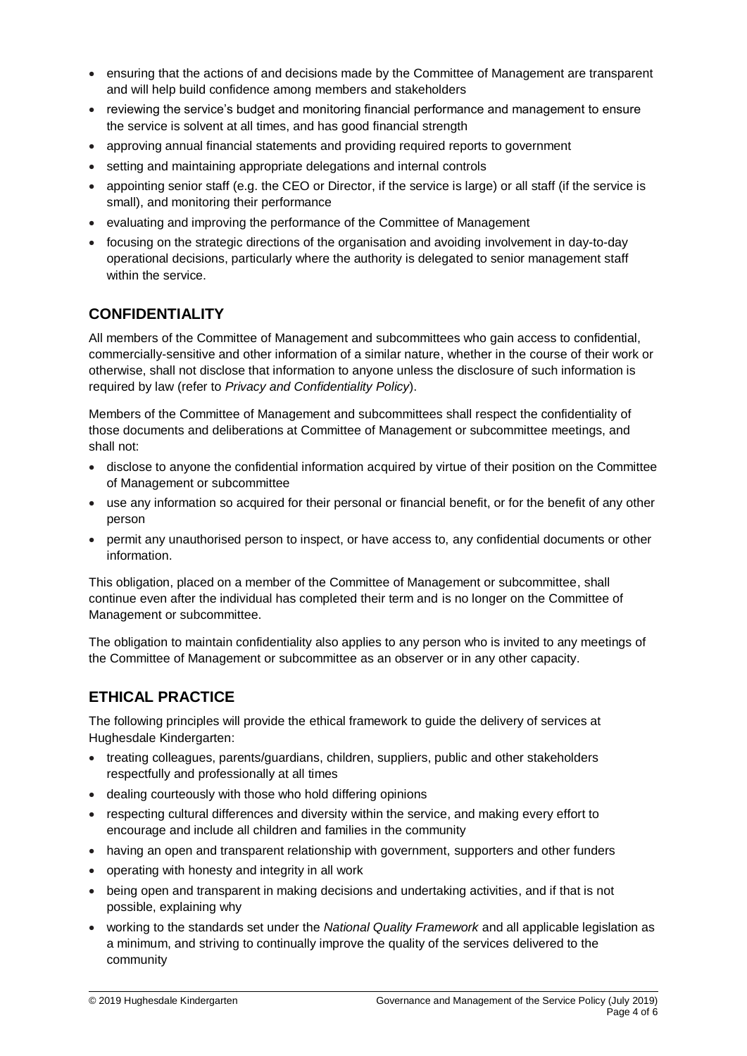- ensuring that the actions of and decisions made by the Committee of Management are transparent and will help build confidence among members and stakeholders
- reviewing the service's budget and monitoring financial performance and management to ensure the service is solvent at all times, and has good financial strength
- approving annual financial statements and providing required reports to government
- setting and maintaining appropriate delegations and internal controls
- appointing senior staff (e.g. the CEO or Director, if the service is large) or all staff (if the service is small), and monitoring their performance
- evaluating and improving the performance of the Committee of Management
- focusing on the strategic directions of the organisation and avoiding involvement in day-to-day operational decisions, particularly where the authority is delegated to senior management staff within the service.

# **CONFIDENTIALITY**

All members of the Committee of Management and subcommittees who gain access to confidential, commercially-sensitive and other information of a similar nature, whether in the course of their work or otherwise, shall not disclose that information to anyone unless the disclosure of such information is required by law (refer to *Privacy and Confidentiality Policy*).

Members of the Committee of Management and subcommittees shall respect the confidentiality of those documents and deliberations at Committee of Management or subcommittee meetings, and shall not:

- disclose to anyone the confidential information acquired by virtue of their position on the Committee of Management or subcommittee
- use any information so acquired for their personal or financial benefit, or for the benefit of any other person
- permit any unauthorised person to inspect, or have access to, any confidential documents or other information.

This obligation, placed on a member of the Committee of Management or subcommittee, shall continue even after the individual has completed their term and is no longer on the Committee of Management or subcommittee.

The obligation to maintain confidentiality also applies to any person who is invited to any meetings of the Committee of Management or subcommittee as an observer or in any other capacity.

# **ETHICAL PRACTICE**

The following principles will provide the ethical framework to guide the delivery of services at Hughesdale Kindergarten:

- treating colleagues, parents/guardians, children, suppliers, public and other stakeholders respectfully and professionally at all times
- dealing courteously with those who hold differing opinions
- respecting cultural differences and diversity within the service, and making every effort to encourage and include all children and families in the community
- having an open and transparent relationship with government, supporters and other funders
- operating with honesty and integrity in all work
- being open and transparent in making decisions and undertaking activities, and if that is not possible, explaining why
- working to the standards set under the *National Quality Framework* and all applicable legislation as a minimum, and striving to continually improve the quality of the services delivered to the community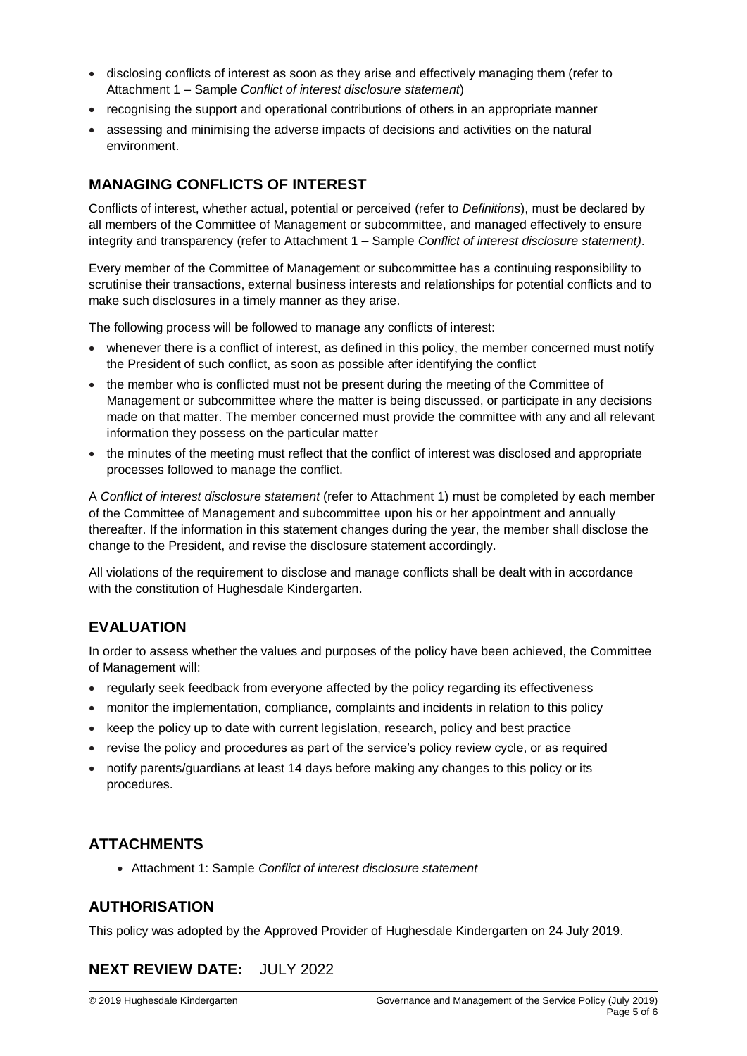- disclosing conflicts of interest as soon as they arise and effectively managing them (refer to Attachment 1 – Sample *Conflict of interest disclosure statement*)
- recognising the support and operational contributions of others in an appropriate manner
- assessing and minimising the adverse impacts of decisions and activities on the natural environment.

# **MANAGING CONFLICTS OF INTEREST**

Conflicts of interest, whether actual, potential or perceived (refer to *Definitions*), must be declared by all members of the Committee of Management or subcommittee, and managed effectively to ensure integrity and transparency (refer to Attachment 1 – Sample *Conflict of interest disclosure statement)*.

Every member of the Committee of Management or subcommittee has a continuing responsibility to scrutinise their transactions, external business interests and relationships for potential conflicts and to make such disclosures in a timely manner as they arise.

The following process will be followed to manage any conflicts of interest:

- whenever there is a conflict of interest, as defined in this policy, the member concerned must notify the President of such conflict, as soon as possible after identifying the conflict
- the member who is conflicted must not be present during the meeting of the Committee of Management or subcommittee where the matter is being discussed, or participate in any decisions made on that matter. The member concerned must provide the committee with any and all relevant information they possess on the particular matter
- the minutes of the meeting must reflect that the conflict of interest was disclosed and appropriate processes followed to manage the conflict.

A *Conflict of interest disclosure statement* (refer to Attachment 1) must be completed by each member of the Committee of Management and subcommittee upon his or her appointment and annually thereafter. If the information in this statement changes during the year, the member shall disclose the change to the President, and revise the disclosure statement accordingly.

All violations of the requirement to disclose and manage conflicts shall be dealt with in accordance with the constitution of Hughesdale Kindergarten.

# **EVALUATION**

In order to assess whether the values and purposes of the policy have been achieved, the Committee of Management will:

- regularly seek feedback from everyone affected by the policy regarding its effectiveness
- monitor the implementation, compliance, complaints and incidents in relation to this policy
- keep the policy up to date with current legislation, research, policy and best practice
- revise the policy and procedures as part of the service's policy review cycle, or as required
- notify parents/guardians at least 14 days before making any changes to this policy or its procedures.

## **ATTACHMENTS**

Attachment 1: Sample *Conflict of interest disclosure statement*

## **AUTHORISATION**

This policy was adopted by the Approved Provider of Hughesdale Kindergarten on 24 July 2019.

# **NEXT REVIEW DATE:** JULY 2022